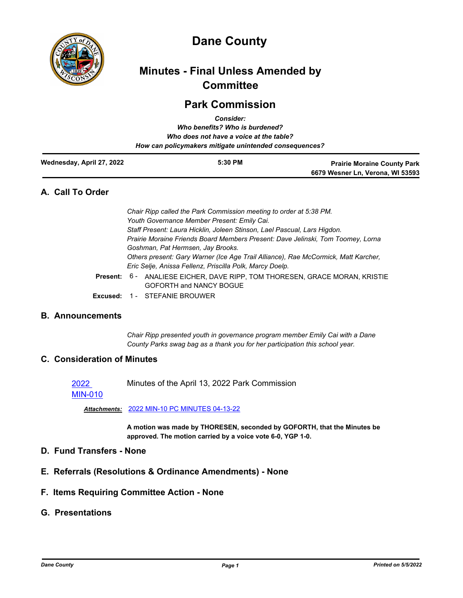

# **Dane County**

## **Minutes - Final Unless Amended by Committee**

## **Park Commission**

|                           | <b>Consider:</b>                                       |                                    |
|---------------------------|--------------------------------------------------------|------------------------------------|
|                           | Who benefits? Who is burdened?                         |                                    |
|                           | Who does not have a voice at the table?                |                                    |
|                           | How can policymakers mitigate unintended consequences? |                                    |
| Wednesday, April 27, 2022 | 5:30 PM                                                | <b>Prairie Moraine County Park</b> |
|                           |                                                        | 6679 Wesner Ln, Verona, WI 53593   |

## **A. Call To Order**

| Chair Ripp called the Park Commission meeting to order at 5:38 PM.                 |  |
|------------------------------------------------------------------------------------|--|
| Youth Governance Member Present: Emily Cai.                                        |  |
| Staff Present: Laura Hicklin, Joleen Stinson, Lael Pascual, Lars Higdon.           |  |
| Prairie Moraine Friends Board Members Present: Dave Jelinski, Tom Toomey, Lorna    |  |
| Goshman, Pat Hermsen, Jay Brooks.                                                  |  |
| Others present: Gary Warner (Ice Age Trail Alliance), Rae McCormick, Matt Karcher, |  |
| Eric Selje, Anissa Fellenz, Priscilla Polk, Marcy Doelp.                           |  |
| ent: 6 - ANALIESE EICHER, DAVE RIPP, TOM THORESEN, GRACE MORAN, KRISTIE            |  |

- GOFORTH and NANCY BOGUE Pres
- **Excused:** 1 STEFANIE BROUWER

## **B. Announcements**

*Chair Ripp presented youth in governance program member Emily Cai with a Dane County Parks swag bag as a thank you for her participation this school year.*

## **C. Consideration of Minutes**

Minutes of the April 13, 2022 Park Commission

[MIN-010](http://dane.legistar.com/gateway.aspx?m=l&id=/matter.aspx?key=22721)

2022

*Attachments:* [2022 MIN-10 PC MINUTES 04-13-22](http://dane.legistar.com/gateway.aspx?M=F&ID=a1283ea8-a05c-4580-9613-ccb4847375f6.pdf)

**A motion was made by THORESEN, seconded by GOFORTH, that the Minutes be approved. The motion carried by a voice vote 6-0, YGP 1-0.**

## **D. Fund Transfers - None**

- **E. Referrals (Resolutions & Ordinance Amendments) None**
- **F. Items Requiring Committee Action None**

## **G. Presentations**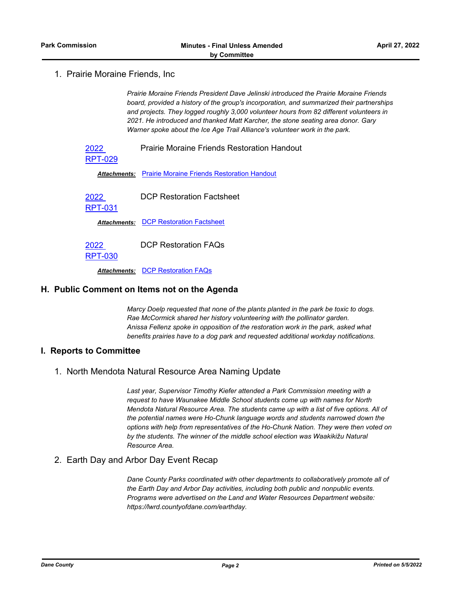1. Prairie Moraine Friends, Inc

*Prairie Moraine Friends President Dave Jelinski introduced the Prairie Moraine Friends board, provided a history of the group's incorporation, and summarized their partnerships and projects. They logged roughly 3,000 volunteer hours from 82 different volunteers in 2021. He introduced and thanked Matt Karcher, the stone seating area donor. Gary Warner spoke about the Ice Age Trail Alliance's volunteer work in the park.*

2022 Prairie Moraine Friends Restoration Handout

[RPT-029](http://dane.legistar.com/gateway.aspx?m=l&id=/matter.aspx?key=22794)

*Attachments:* [Prairie Moraine Friends Restoration Handout](http://dane.legistar.com/gateway.aspx?M=F&ID=4e31adb4-4c45-4039-b2a8-91fa1a508750.pdf)

2022 DCP Restoration Factsheet

[RPT-031](http://dane.legistar.com/gateway.aspx?m=l&id=/matter.aspx?key=22796)

**Attachments: [DCP Restoration Factsheet](http://dane.legistar.com/gateway.aspx?M=F&ID=acf64f08-33ed-4c81-a2b0-bbaf69beaeea.pdf)** 

2022 DCP Restoration FAQs

[RPT-030](http://dane.legistar.com/gateway.aspx?m=l&id=/matter.aspx?key=22795)

*Attachments:* [DCP Restoration FAQs](http://dane.legistar.com/gateway.aspx?M=F&ID=25cb52f8-c9b4-43e6-9a44-e604decb448a.pdf)

### **H. Public Comment on Items not on the Agenda**

*Marcy Doelp requested that none of the plants planted in the park be toxic to dogs. Rae McCormick shared her history volunteering with the pollinator garden. Anissa Fellenz spoke in opposition of the restoration work in the park, asked what benefits prairies have to a dog park and requested additional workday notifications.*

#### **I. Reports to Committee**

1. North Mendota Natural Resource Area Naming Update

*Last year, Supervisor Timothy Kiefer attended a Park Commission meeting with a request to have Waunakee Middle School students come up with names for North Mendota Natural Resource Area. The students came up with a list of five options. All of the potential names were Ho-Chunk language words and students narrowed down the options with help from representatives of the Ho-Chunk Nation. They were then voted on*  by the students. The winner of the middle school election was Waakikižu Natural *Resource Area.*

### 2. Earth Day and Arbor Day Event Recap

*Dane County Parks coordinated with other departments to collaboratively promote all of the Earth Day and Arbor Day activities, including both public and nonpublic events. Programs were advertised on the Land and Water Resources Department website: https://lwrd.countyofdane.com/earthday.*